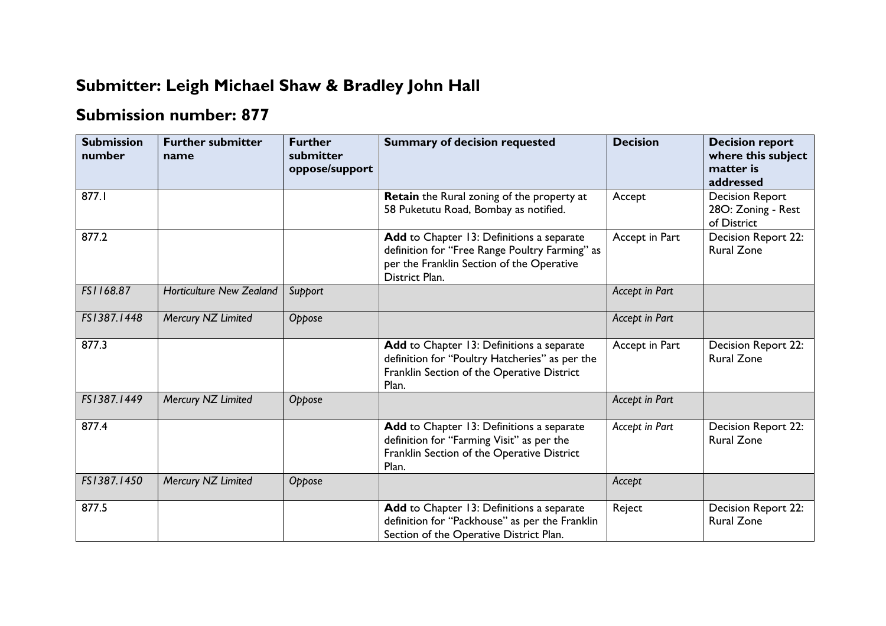## **Submitter: Leigh Michael Shaw & Bradley John Hall**

## **Submission number: 877**

| <b>Submission</b><br>number | <b>Further submitter</b><br>name | <b>Further</b><br>submitter<br>oppose/support | <b>Summary of decision requested</b>                                                                                                                       | <b>Decision</b> | <b>Decision report</b><br>where this subject<br>matter is<br>addressed |
|-----------------------------|----------------------------------|-----------------------------------------------|------------------------------------------------------------------------------------------------------------------------------------------------------------|-----------------|------------------------------------------------------------------------|
| 877.I                       |                                  |                                               | Retain the Rural zoning of the property at<br>58 Puketutu Road, Bombay as notified.                                                                        | Accept          | <b>Decision Report</b><br>28O: Zoning - Rest<br>of District            |
| 877.2                       |                                  |                                               | Add to Chapter 13: Definitions a separate<br>definition for "Free Range Poultry Farming" as<br>per the Franklin Section of the Operative<br>District Plan. | Accept in Part  | Decision Report 22:<br><b>Rural Zone</b>                               |
| FS1168.87                   | <b>Horticulture New Zealand</b>  | Support                                       |                                                                                                                                                            | Accept in Part  |                                                                        |
| FS1387.1448                 | Mercury NZ Limited               | Oppose                                        |                                                                                                                                                            | Accept in Part  |                                                                        |
| 877.3                       |                                  |                                               | Add to Chapter 13: Definitions a separate<br>definition for "Poultry Hatcheries" as per the<br>Franklin Section of the Operative District<br>Plan.         | Accept in Part  | Decision Report 22:<br><b>Rural Zone</b>                               |
| FS1387.1449                 | Mercury NZ Limited               | Oppose                                        |                                                                                                                                                            | Accept in Part  |                                                                        |
| 877.4                       |                                  |                                               | Add to Chapter 13: Definitions a separate<br>definition for "Farming Visit" as per the<br>Franklin Section of the Operative District<br>Plan.              | Accept in Part  | <b>Decision Report 22:</b><br><b>Rural Zone</b>                        |
| FS1387.1450                 | Mercury NZ Limited               | Oppose                                        |                                                                                                                                                            | Accept          |                                                                        |
| 877.5                       |                                  |                                               | Add to Chapter 13: Definitions a separate<br>definition for "Packhouse" as per the Franklin<br>Section of the Operative District Plan.                     | Reject          | Decision Report 22:<br><b>Rural Zone</b>                               |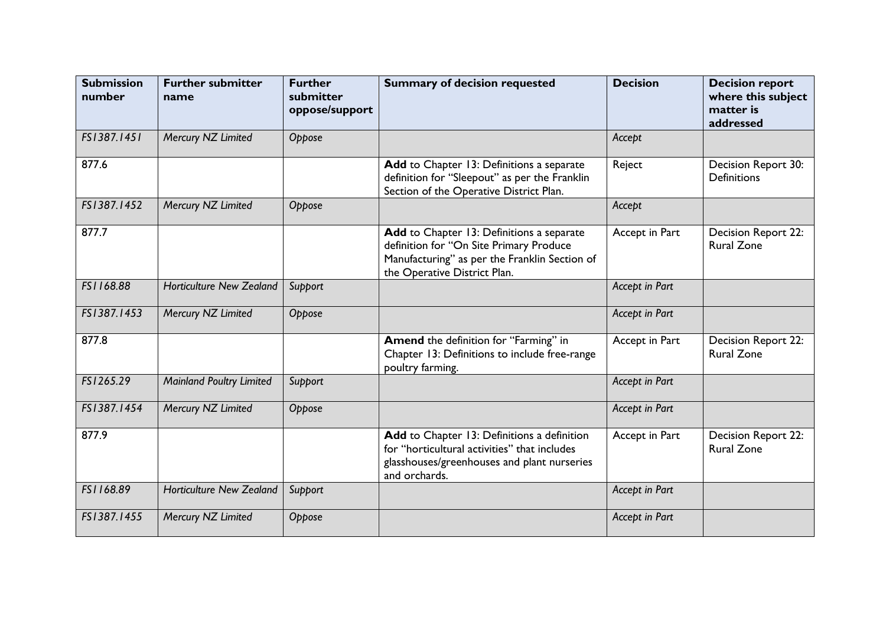| <b>Submission</b><br>number | <b>Further submitter</b><br>name | <b>Further</b><br>submitter<br>oppose/support | <b>Summary of decision requested</b>                                                                                                                                  | <b>Decision</b> | <b>Decision report</b><br>where this subject<br>matter is<br>addressed |
|-----------------------------|----------------------------------|-----------------------------------------------|-----------------------------------------------------------------------------------------------------------------------------------------------------------------------|-----------------|------------------------------------------------------------------------|
| FS1387.1451                 | Mercury NZ Limited               | Oppose                                        |                                                                                                                                                                       | Accept          |                                                                        |
| 877.6                       |                                  |                                               | Add to Chapter 13: Definitions a separate<br>definition for "Sleepout" as per the Franklin<br>Section of the Operative District Plan.                                 | Reject          | Decision Report 30:<br><b>Definitions</b>                              |
| FS1387.1452                 | Mercury NZ Limited               | Oppose                                        |                                                                                                                                                                       | Accept          |                                                                        |
| 877.7                       |                                  |                                               | Add to Chapter 13: Definitions a separate<br>definition for "On Site Primary Produce<br>Manufacturing" as per the Franklin Section of<br>the Operative District Plan. | Accept in Part  | Decision Report 22:<br><b>Rural Zone</b>                               |
| FS1168.88                   | <b>Horticulture New Zealand</b>  | Support                                       |                                                                                                                                                                       | Accept in Part  |                                                                        |
| FS1387.1453                 | Mercury NZ Limited               | Oppose                                        |                                                                                                                                                                       | Accept in Part  |                                                                        |
| 877.8                       |                                  |                                               | Amend the definition for "Farming" in<br>Chapter 13: Definitions to include free-range<br>poultry farming.                                                            | Accept in Part  | Decision Report 22:<br><b>Rural Zone</b>                               |
| FS1265.29                   | <b>Mainland Poultry Limited</b>  | Support                                       |                                                                                                                                                                       | Accept in Part  |                                                                        |
| FS1387.1454                 | Mercury NZ Limited               | Oppose                                        |                                                                                                                                                                       | Accept in Part  |                                                                        |
| 877.9                       |                                  |                                               | Add to Chapter 13: Definitions a definition<br>for "horticultural activities" that includes<br>glasshouses/greenhouses and plant nurseries<br>and orchards.           | Accept in Part  | <b>Decision Report 22:</b><br><b>Rural Zone</b>                        |
| FS1168.89                   | <b>Horticulture New Zealand</b>  | Support                                       |                                                                                                                                                                       | Accept in Part  |                                                                        |
| FS1387.1455                 | Mercury NZ Limited               | Oppose                                        |                                                                                                                                                                       | Accept in Part  |                                                                        |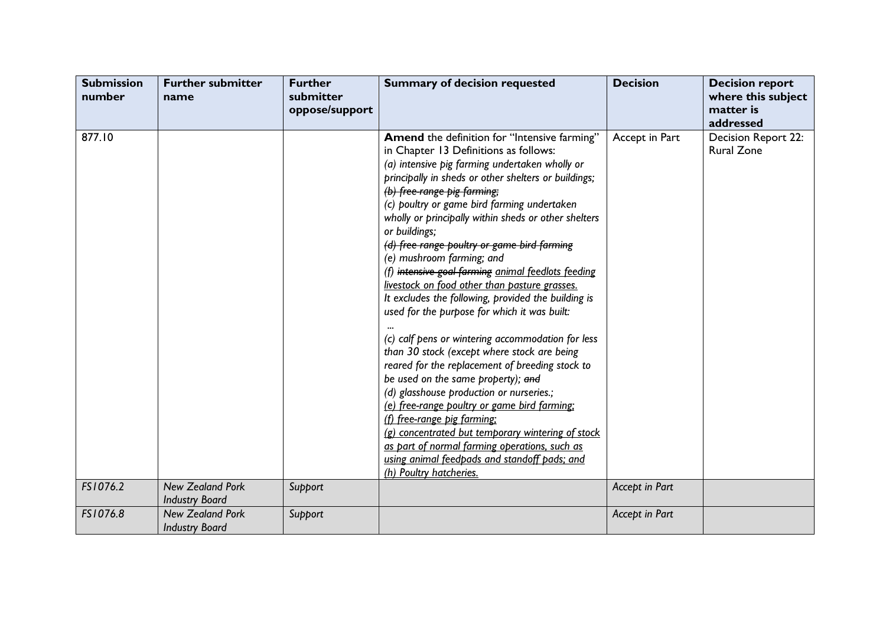| <b>Submission</b><br>number | <b>Further submitter</b><br>name                 | <b>Further</b><br>submitter<br>oppose/support | <b>Summary of decision requested</b>                                                                                                                                                                                                                                                                                                                                                                                                                                                                                                                                                                                                                                                                                                                                                                                                                                                                                                                                                                                                                                                                                                                      | <b>Decision</b> | <b>Decision report</b><br>where this subject<br>matter is<br>addressed |
|-----------------------------|--------------------------------------------------|-----------------------------------------------|-----------------------------------------------------------------------------------------------------------------------------------------------------------------------------------------------------------------------------------------------------------------------------------------------------------------------------------------------------------------------------------------------------------------------------------------------------------------------------------------------------------------------------------------------------------------------------------------------------------------------------------------------------------------------------------------------------------------------------------------------------------------------------------------------------------------------------------------------------------------------------------------------------------------------------------------------------------------------------------------------------------------------------------------------------------------------------------------------------------------------------------------------------------|-----------------|------------------------------------------------------------------------|
| 877.10                      |                                                  |                                               | Amend the definition for "Intensive farming"<br>in Chapter 13 Definitions as follows:<br>(a) intensive pig farming undertaken wholly or<br>principally in sheds or other shelters or buildings;<br>(b) free-range pig farming;<br>(c) poultry or game bird farming undertaken<br>wholly or principally within sheds or other shelters<br>or buildings;<br>(d) free range poultry or game bird farming<br>(e) mushroom farming; and<br>(f) intensive goal farming animal feedlots feeding<br>livestock on food other than pasture grasses.<br>It excludes the following, provided the building is<br>used for the purpose for which it was built:<br>(c) calf pens or wintering accommodation for less<br>than 30 stock (except where stock are being<br>reared for the replacement of breeding stock to<br>be used on the same property); and<br>(d) glasshouse production or nurseries.;<br>(e) free-range poultry or game bird farming:<br>(f) free-range pig farming;<br>(g) concentrated but temporary wintering of stock<br>as part of normal farming operations, such as<br>using animal feedpads and standoff pads; and<br>(h) Poultry hatcheries. | Accept in Part  | Decision Report 22:<br><b>Rural Zone</b>                               |
| FS1076.2                    | <b>New Zealand Pork</b><br><b>Industry Board</b> | Support                                       |                                                                                                                                                                                                                                                                                                                                                                                                                                                                                                                                                                                                                                                                                                                                                                                                                                                                                                                                                                                                                                                                                                                                                           | Accept in Part  |                                                                        |
| FS1076.8                    | <b>New Zealand Pork</b><br><b>Industry Board</b> | Support                                       |                                                                                                                                                                                                                                                                                                                                                                                                                                                                                                                                                                                                                                                                                                                                                                                                                                                                                                                                                                                                                                                                                                                                                           | Accept in Part  |                                                                        |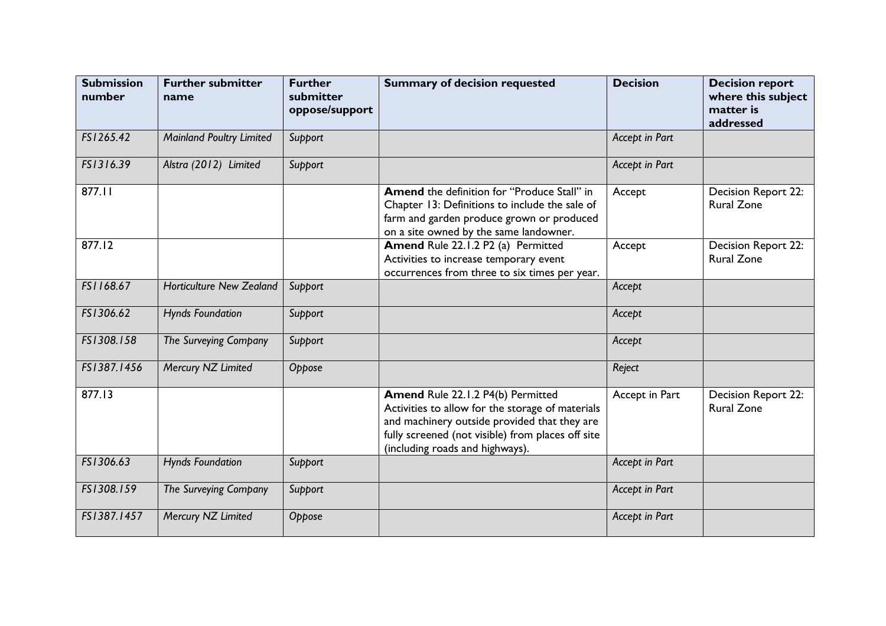| <b>Submission</b><br>number | <b>Further submitter</b><br>name | <b>Further</b><br>submitter<br>oppose/support | <b>Summary of decision requested</b>                                                                                                                                                                                          | <b>Decision</b> | <b>Decision report</b><br>where this subject<br>matter is<br>addressed |
|-----------------------------|----------------------------------|-----------------------------------------------|-------------------------------------------------------------------------------------------------------------------------------------------------------------------------------------------------------------------------------|-----------------|------------------------------------------------------------------------|
| FS1265.42                   | <b>Mainland Poultry Limited</b>  | Support                                       |                                                                                                                                                                                                                               | Accept in Part  |                                                                        |
| FS1316.39                   | Alstra (2012) Limited            | Support                                       |                                                                                                                                                                                                                               | Accept in Part  |                                                                        |
| 877.11                      |                                  |                                               | <b>Amend</b> the definition for "Produce Stall" in<br>Chapter 13: Definitions to include the sale of<br>farm and garden produce grown or produced<br>on a site owned by the same landowner.                                   | Accept          | Decision Report 22:<br><b>Rural Zone</b>                               |
| 877.12                      |                                  |                                               | Amend Rule 22.1.2 P2 (a) Permitted<br>Activities to increase temporary event<br>occurrences from three to six times per year.                                                                                                 | Accept          | Decision Report 22:<br><b>Rural Zone</b>                               |
| FS1168.67                   | <b>Horticulture New Zealand</b>  | Support                                       |                                                                                                                                                                                                                               | Accept          |                                                                        |
| FS1306.62                   | <b>Hynds Foundation</b>          | Support                                       |                                                                                                                                                                                                                               | Accept          |                                                                        |
| FS1308.158                  | The Surveying Company            | Support                                       |                                                                                                                                                                                                                               | Accept          |                                                                        |
| FS1387.1456                 | Mercury NZ Limited               | Oppose                                        |                                                                                                                                                                                                                               | Reject          |                                                                        |
| 877.13                      |                                  |                                               | Amend Rule 22.1.2 P4(b) Permitted<br>Activities to allow for the storage of materials<br>and machinery outside provided that they are<br>fully screened (not visible) from places off site<br>(including roads and highways). | Accept in Part  | Decision Report 22:<br><b>Rural Zone</b>                               |
| FS1306.63                   | <b>Hynds Foundation</b>          | Support                                       |                                                                                                                                                                                                                               | Accept in Part  |                                                                        |
| FS1308.159                  | The Surveying Company            | Support                                       |                                                                                                                                                                                                                               | Accept in Part  |                                                                        |
| FS1387.1457                 | Mercury NZ Limited               | Oppose                                        |                                                                                                                                                                                                                               | Accept in Part  |                                                                        |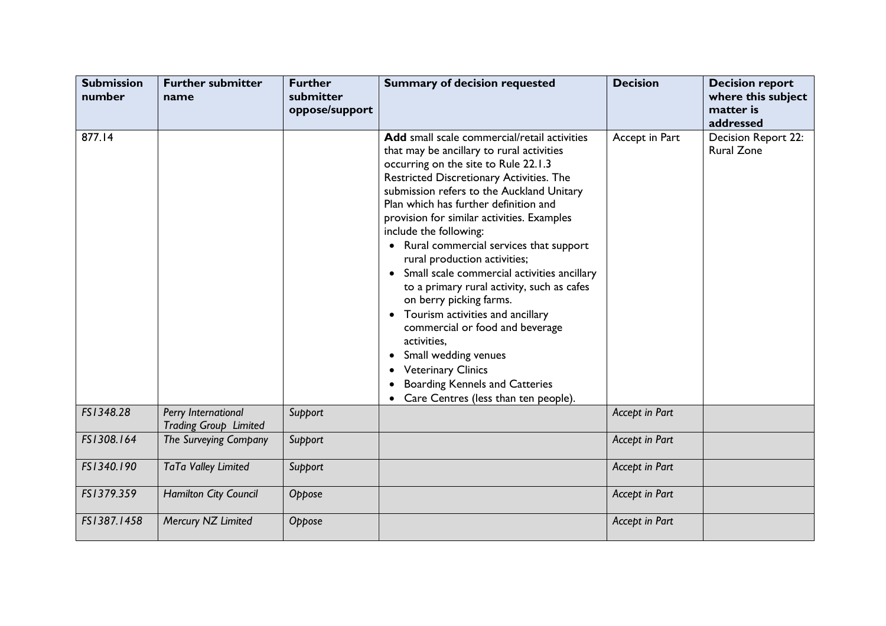| <b>Submission</b><br>number | <b>Further submitter</b><br>name                    | <b>Further</b><br>submitter<br>oppose/support | <b>Summary of decision requested</b>                                                                                                                                                                                                                                                                                                                                                                                                                                                                                                                                                                                                                                                                                                                                            | <b>Decision</b> | <b>Decision report</b><br>where this subject<br>matter is<br>addressed |
|-----------------------------|-----------------------------------------------------|-----------------------------------------------|---------------------------------------------------------------------------------------------------------------------------------------------------------------------------------------------------------------------------------------------------------------------------------------------------------------------------------------------------------------------------------------------------------------------------------------------------------------------------------------------------------------------------------------------------------------------------------------------------------------------------------------------------------------------------------------------------------------------------------------------------------------------------------|-----------------|------------------------------------------------------------------------|
| 877.14                      |                                                     |                                               | Add small scale commercial/retail activities<br>that may be ancillary to rural activities<br>occurring on the site to Rule 22.1.3<br>Restricted Discretionary Activities. The<br>submission refers to the Auckland Unitary<br>Plan which has further definition and<br>provision for similar activities. Examples<br>include the following:<br>• Rural commercial services that support<br>rural production activities;<br>• Small scale commercial activities ancillary<br>to a primary rural activity, such as cafes<br>on berry picking farms.<br>• Tourism activities and ancillary<br>commercial or food and beverage<br>activities,<br>Small wedding venues<br><b>Veterinary Clinics</b><br><b>Boarding Kennels and Catteries</b><br>Care Centres (less than ten people). | Accept in Part  | Decision Report 22:<br><b>Rural Zone</b>                               |
| FS1348.28                   | Perry International<br><b>Trading Group Limited</b> | Support                                       |                                                                                                                                                                                                                                                                                                                                                                                                                                                                                                                                                                                                                                                                                                                                                                                 | Accept in Part  |                                                                        |
| FS1308.164                  | The Surveying Company                               | Support                                       |                                                                                                                                                                                                                                                                                                                                                                                                                                                                                                                                                                                                                                                                                                                                                                                 | Accept in Part  |                                                                        |
| FS1340.190                  | TaTa Valley Limited                                 | Support                                       |                                                                                                                                                                                                                                                                                                                                                                                                                                                                                                                                                                                                                                                                                                                                                                                 | Accept in Part  |                                                                        |
| FS1379.359                  | Hamilton City Council                               | Oppose                                        |                                                                                                                                                                                                                                                                                                                                                                                                                                                                                                                                                                                                                                                                                                                                                                                 | Accept in Part  |                                                                        |
| FS1387.1458                 | Mercury NZ Limited                                  | Oppose                                        |                                                                                                                                                                                                                                                                                                                                                                                                                                                                                                                                                                                                                                                                                                                                                                                 | Accept in Part  |                                                                        |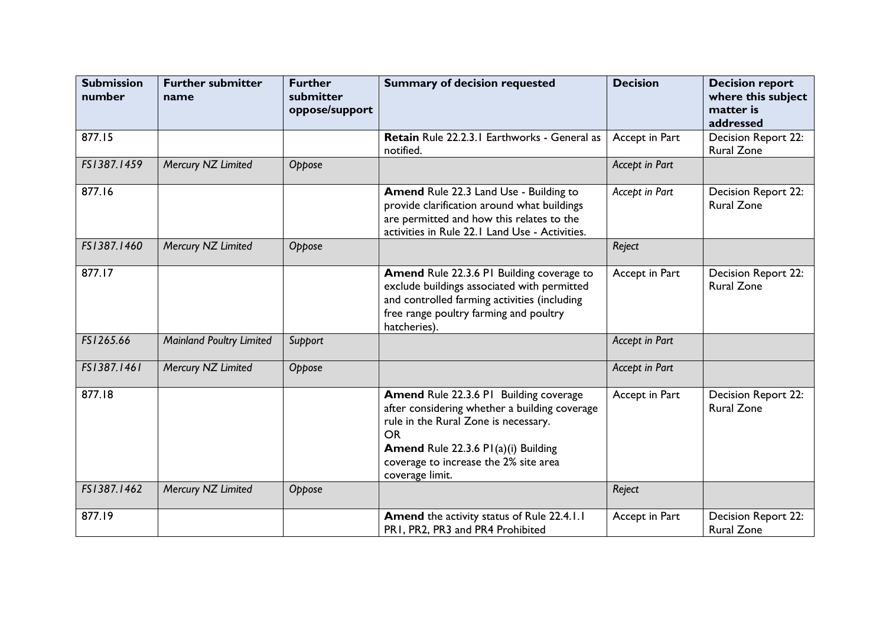| <b>Submission</b><br>number | <b>Further submitter</b><br>name | <b>Further</b><br>submitter<br>oppose/support | <b>Summary of decision requested</b>                                                                                                                                                                                                                   | <b>Decision</b> | <b>Decision report</b><br>where this subject<br>matter is<br>addressed |
|-----------------------------|----------------------------------|-----------------------------------------------|--------------------------------------------------------------------------------------------------------------------------------------------------------------------------------------------------------------------------------------------------------|-----------------|------------------------------------------------------------------------|
| 877.15                      |                                  |                                               | Retain Rule 22.2.3.1 Earthworks - General as<br>notified.                                                                                                                                                                                              | Accept in Part  | Decision Report 22:<br><b>Rural Zone</b>                               |
| FS1387.1459                 | Mercury NZ Limited               | Oppose                                        |                                                                                                                                                                                                                                                        | Accept in Part  |                                                                        |
| 877.16                      |                                  |                                               | Amend Rule 22.3 Land Use - Building to<br>provide clarification around what buildings<br>are permitted and how this relates to the<br>activities in Rule 22.1 Land Use - Activities.                                                                   | Accept in Part  | Decision Report 22:<br><b>Rural Zone</b>                               |
| FS1387.1460                 | Mercury NZ Limited               | Oppose                                        |                                                                                                                                                                                                                                                        | Reject          |                                                                        |
| 877.17                      |                                  |                                               | Amend Rule 22.3.6 PI Building coverage to<br>exclude buildings associated with permitted<br>and controlled farming activities (including<br>free range poultry farming and poultry<br>hatcheries).                                                     | Accept in Part  | Decision Report 22:<br><b>Rural Zone</b>                               |
| FS1265.66                   | <b>Mainland Poultry Limited</b>  | Support                                       |                                                                                                                                                                                                                                                        | Accept in Part  |                                                                        |
| FS1387.1461                 | Mercury NZ Limited               | Oppose                                        |                                                                                                                                                                                                                                                        | Accept in Part  |                                                                        |
| 877.18                      |                                  |                                               | <b>Amend Rule 22.3.6 PI Building coverage</b><br>after considering whether a building coverage<br>rule in the Rural Zone is necessary.<br><b>OR</b><br>Amend Rule 22.3.6 PI(a)(i) Building<br>coverage to increase the 2% site area<br>coverage limit. | Accept in Part  | <b>Decision Report 22:</b><br><b>Rural Zone</b>                        |
| FS1387.1462                 | Mercury NZ Limited               | Oppose                                        |                                                                                                                                                                                                                                                        | Reject          |                                                                        |
| 877.19                      |                                  |                                               | Amend the activity status of Rule 22.4.1.1<br>PR1, PR2, PR3 and PR4 Prohibited                                                                                                                                                                         | Accept in Part  | Decision Report 22:<br><b>Rural Zone</b>                               |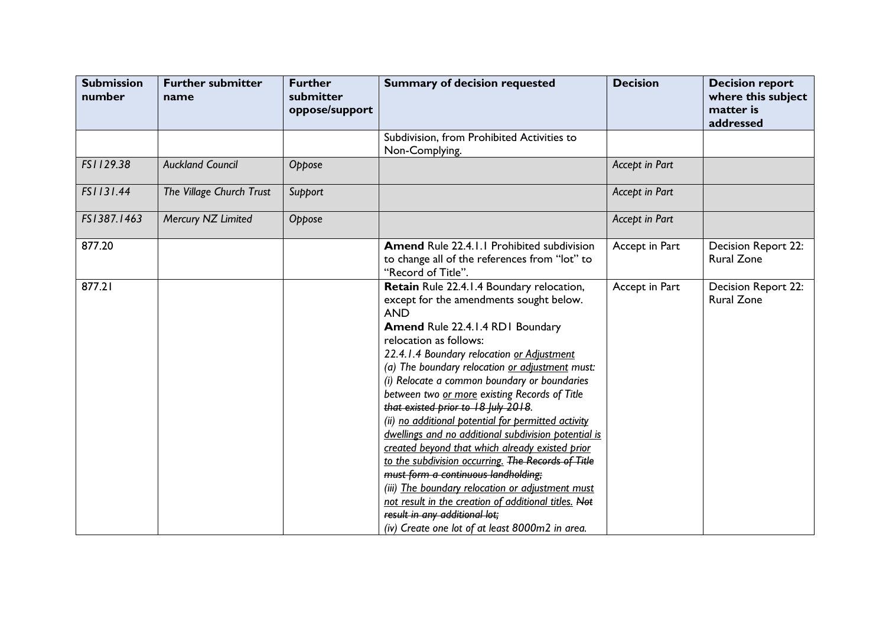| <b>Submission</b><br>number | <b>Further submitter</b><br>name | <b>Further</b><br>submitter<br>oppose/support | <b>Summary of decision requested</b>                                                                                                                                                                                                                                                                                                                                                                                                                                                                                                                                                                                                                                                                                                                                                                                                                                     | <b>Decision</b> | <b>Decision report</b><br>where this subject<br>matter is<br>addressed |
|-----------------------------|----------------------------------|-----------------------------------------------|--------------------------------------------------------------------------------------------------------------------------------------------------------------------------------------------------------------------------------------------------------------------------------------------------------------------------------------------------------------------------------------------------------------------------------------------------------------------------------------------------------------------------------------------------------------------------------------------------------------------------------------------------------------------------------------------------------------------------------------------------------------------------------------------------------------------------------------------------------------------------|-----------------|------------------------------------------------------------------------|
|                             |                                  |                                               | Subdivision, from Prohibited Activities to<br>Non-Complying.                                                                                                                                                                                                                                                                                                                                                                                                                                                                                                                                                                                                                                                                                                                                                                                                             |                 |                                                                        |
| FS1129.38                   | <b>Auckland Council</b>          | Oppose                                        |                                                                                                                                                                                                                                                                                                                                                                                                                                                                                                                                                                                                                                                                                                                                                                                                                                                                          | Accept in Part  |                                                                        |
| FS1131.44                   | The Village Church Trust         | Support                                       |                                                                                                                                                                                                                                                                                                                                                                                                                                                                                                                                                                                                                                                                                                                                                                                                                                                                          | Accept in Part  |                                                                        |
| FS1387.1463                 | Mercury NZ Limited               | Oppose                                        |                                                                                                                                                                                                                                                                                                                                                                                                                                                                                                                                                                                                                                                                                                                                                                                                                                                                          | Accept in Part  |                                                                        |
| 877.20                      |                                  |                                               | <b>Amend Rule 22.4.1.1 Prohibited subdivision</b><br>to change all of the references from "lot" to<br>"Record of Title".                                                                                                                                                                                                                                                                                                                                                                                                                                                                                                                                                                                                                                                                                                                                                 | Accept in Part  | Decision Report 22:<br><b>Rural Zone</b>                               |
| 877.21                      |                                  |                                               | Retain Rule 22.4.1.4 Boundary relocation,<br>except for the amendments sought below.<br><b>AND</b><br>Amend Rule 22.4.1.4 RD1 Boundary<br>relocation as follows:<br>22.4.1.4 Boundary relocation or Adjustment<br>(a) The boundary relocation or adjustment must:<br>(i) Relocate a common boundary or boundaries<br>between two or more existing Records of Title<br>that existed prior to 18 July 2018.<br>(ii) no additional potential for permitted activity<br>dwellings and no additional subdivision potential is<br>created beyond that which already existed prior<br>to the subdivision occurring. The Records of Title<br>must form a continuous landholding;<br>(iii) The boundary relocation or adjustment must<br>not result in the creation of additional titles. Not<br>result in any additional lot;<br>(iv) Create one lot of at least 8000m2 in area. | Accept in Part  | Decision Report 22:<br><b>Rural Zone</b>                               |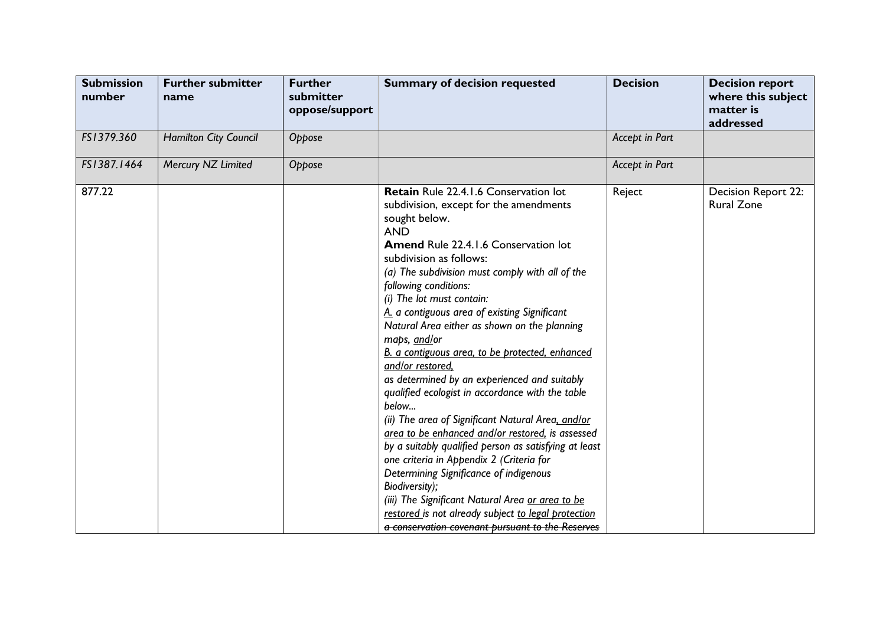| <b>Submission</b><br>number | <b>Further submitter</b><br>name | <b>Further</b><br>submitter<br>oppose/support | <b>Summary of decision requested</b>                                                                                                                                                                                                                                                                                                                                                                                                                                                                                                                                                                                                                                                                                                                                                                                                                                                                                                                                                                                                                  | <b>Decision</b> | <b>Decision report</b><br>where this subject<br>matter is<br>addressed |
|-----------------------------|----------------------------------|-----------------------------------------------|-------------------------------------------------------------------------------------------------------------------------------------------------------------------------------------------------------------------------------------------------------------------------------------------------------------------------------------------------------------------------------------------------------------------------------------------------------------------------------------------------------------------------------------------------------------------------------------------------------------------------------------------------------------------------------------------------------------------------------------------------------------------------------------------------------------------------------------------------------------------------------------------------------------------------------------------------------------------------------------------------------------------------------------------------------|-----------------|------------------------------------------------------------------------|
| FS1379.360                  | <b>Hamilton City Council</b>     | Oppose                                        |                                                                                                                                                                                                                                                                                                                                                                                                                                                                                                                                                                                                                                                                                                                                                                                                                                                                                                                                                                                                                                                       | Accept in Part  |                                                                        |
| FS1387.1464                 | Mercury NZ Limited               | Oppose                                        |                                                                                                                                                                                                                                                                                                                                                                                                                                                                                                                                                                                                                                                                                                                                                                                                                                                                                                                                                                                                                                                       | Accept in Part  |                                                                        |
| 877.22                      |                                  |                                               | <b>Retain</b> Rule 22.4.1.6 Conservation lot<br>subdivision, except for the amendments<br>sought below.<br><b>AND</b><br><b>Amend Rule 22.4.1.6 Conservation lot</b><br>subdivision as follows:<br>(a) The subdivision must comply with all of the<br>following conditions:<br>(i) The lot must contain:<br>A. a contiguous area of existing Significant<br>Natural Area either as shown on the planning<br>maps, and/or<br>B. a contiguous area, to be protected, enhanced<br>and/or restored.<br>as determined by an experienced and suitably<br>qualified ecologist in accordance with the table<br>below<br>(ii) The area of Significant Natural Area, and/or<br>grea to be enhanced and/or restored, is assessed<br>by a suitably qualified person as satisfying at least<br>one criteria in Appendix 2 (Criteria for<br>Determining Significance of indigenous<br>Biodiversity);<br>(iii) The Significant Natural Area or area to be<br>restored is not already subject to legal protection<br>a conservation covenant bursuant to the Reserves | Reject          | <b>Decision Report 22:</b><br><b>Rural Zone</b>                        |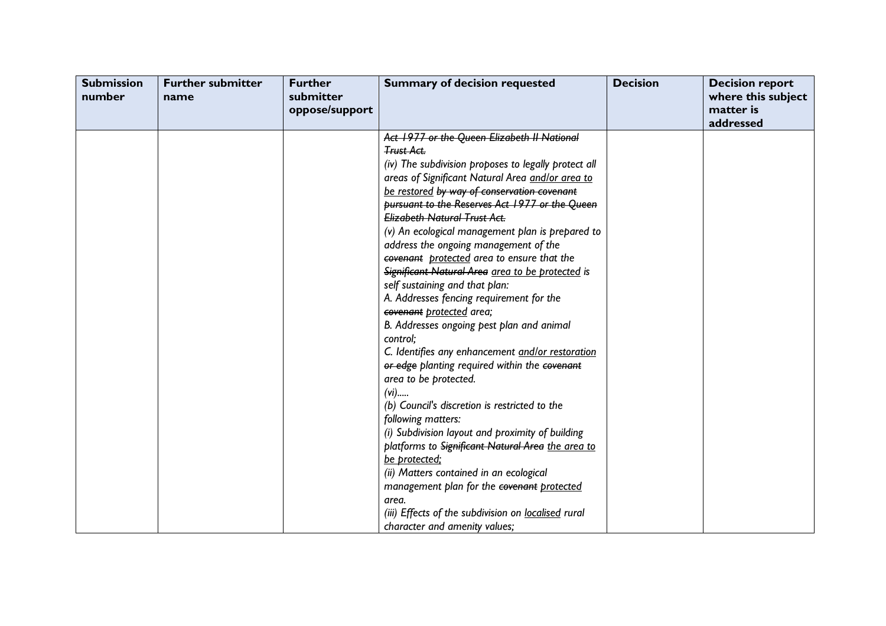| <b>Submission</b><br>number | <b>Further submitter</b><br>name | <b>Further</b><br>submitter<br>oppose/support | <b>Summary of decision requested</b>                                                                                                                                                                                                                                                                                                                                                                                                                                                                                                                                                                                                                                                                                                                                                                                                                                                                                                                                                                                                                                                                                                                                                     | <b>Decision</b> | <b>Decision report</b><br>where this subject<br>matter is<br>addressed |
|-----------------------------|----------------------------------|-----------------------------------------------|------------------------------------------------------------------------------------------------------------------------------------------------------------------------------------------------------------------------------------------------------------------------------------------------------------------------------------------------------------------------------------------------------------------------------------------------------------------------------------------------------------------------------------------------------------------------------------------------------------------------------------------------------------------------------------------------------------------------------------------------------------------------------------------------------------------------------------------------------------------------------------------------------------------------------------------------------------------------------------------------------------------------------------------------------------------------------------------------------------------------------------------------------------------------------------------|-----------------|------------------------------------------------------------------------|
|                             |                                  |                                               | Act 1977 or the Queen Elizabeth II National<br><b>Trust Act.</b><br>(iv) The subdivision proposes to legally protect all<br>areas of Significant Natural Area and/or area to<br>be restored by way of conservation covenant<br>pursuant to the Reserves Act 1977 or the Queen<br><b>Elizabeth Natural Trust Act.</b><br>(v) An ecological management plan is prepared to<br>address the ongoing management of the<br>covenant protected area to ensure that the<br>Significant Natural Area area to be protected is<br>self sustaining and that plan:<br>A. Addresses fencing requirement for the<br>covenant protected area;<br>B. Addresses ongoing pest plan and animal<br>control;<br>C. Identifies any enhancement and/or restoration<br>or edge planting required within the covenant<br>area to be protected.<br>$(vi)$<br>(b) Council's discretion is restricted to the<br>following matters:<br>(i) Subdivision layout and proximity of building<br>platforms to Significant Natural Area the area to<br>be protected;<br>(ii) Matters contained in an ecological<br>management plan for the covenant protected<br>area.<br>(iii) Effects of the subdivision on localised rural |                 |                                                                        |
|                             |                                  |                                               | character and amenity values;                                                                                                                                                                                                                                                                                                                                                                                                                                                                                                                                                                                                                                                                                                                                                                                                                                                                                                                                                                                                                                                                                                                                                            |                 |                                                                        |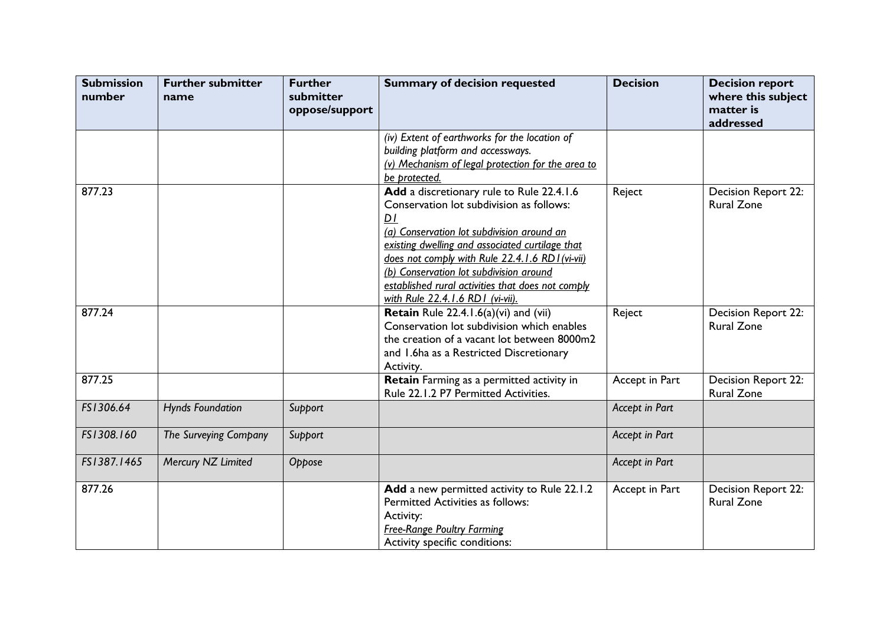| <b>Submission</b><br>number | <b>Further submitter</b><br>name | <b>Further</b><br>submitter<br>oppose/support | <b>Summary of decision requested</b>                                                                                                                                                                                                                                                                                                                                                           | <b>Decision</b> | <b>Decision report</b><br>where this subject<br>matter is<br>addressed |
|-----------------------------|----------------------------------|-----------------------------------------------|------------------------------------------------------------------------------------------------------------------------------------------------------------------------------------------------------------------------------------------------------------------------------------------------------------------------------------------------------------------------------------------------|-----------------|------------------------------------------------------------------------|
|                             |                                  |                                               | (iv) Extent of earthworks for the location of<br>building platform and accessways.<br>(v) Mechanism of legal protection for the area to<br>be protected.                                                                                                                                                                                                                                       |                 |                                                                        |
| 877.23                      |                                  |                                               | Add a discretionary rule to Rule 22.4.1.6<br>Conservation lot subdivision as follows:<br>D <sub>I</sub><br>(a) Conservation lot subdivision around an<br>existing dwelling and associated curtilage that<br>does not comply with Rule 22.4.1.6 RD1(vi-vii)<br>(b) Conservation lot subdivision around<br>established rural activities that does not comply<br>with Rule 22.4.1.6 RD1 (vi-vii). | Reject          | Decision Report 22:<br><b>Rural Zone</b>                               |
| 877.24                      |                                  |                                               | Retain Rule 22.4.1.6(a)(vi) and (vii)<br>Conservation lot subdivision which enables<br>the creation of a vacant lot between 8000m2<br>and 1.6ha as a Restricted Discretionary<br>Activity.                                                                                                                                                                                                     | Reject          | Decision Report 22:<br><b>Rural Zone</b>                               |
| 877.25                      |                                  |                                               | Retain Farming as a permitted activity in<br>Rule 22.1.2 P7 Permitted Activities.                                                                                                                                                                                                                                                                                                              | Accept in Part  | Decision Report 22:<br><b>Rural Zone</b>                               |
| FS1306.64                   | <b>Hynds Foundation</b>          | Support                                       |                                                                                                                                                                                                                                                                                                                                                                                                | Accept in Part  |                                                                        |
| FS1308.160                  | The Surveying Company            | Support                                       |                                                                                                                                                                                                                                                                                                                                                                                                | Accept in Part  |                                                                        |
| FS1387.1465                 | Mercury NZ Limited               | Oppose                                        |                                                                                                                                                                                                                                                                                                                                                                                                | Accept in Part  |                                                                        |
| 877.26                      |                                  |                                               | Add a new permitted activity to Rule 22.1.2<br><b>Permitted Activities as follows:</b><br>Activity:<br><b>Free-Range Poultry Farming</b><br>Activity specific conditions:                                                                                                                                                                                                                      | Accept in Part  | Decision Report 22:<br><b>Rural Zone</b>                               |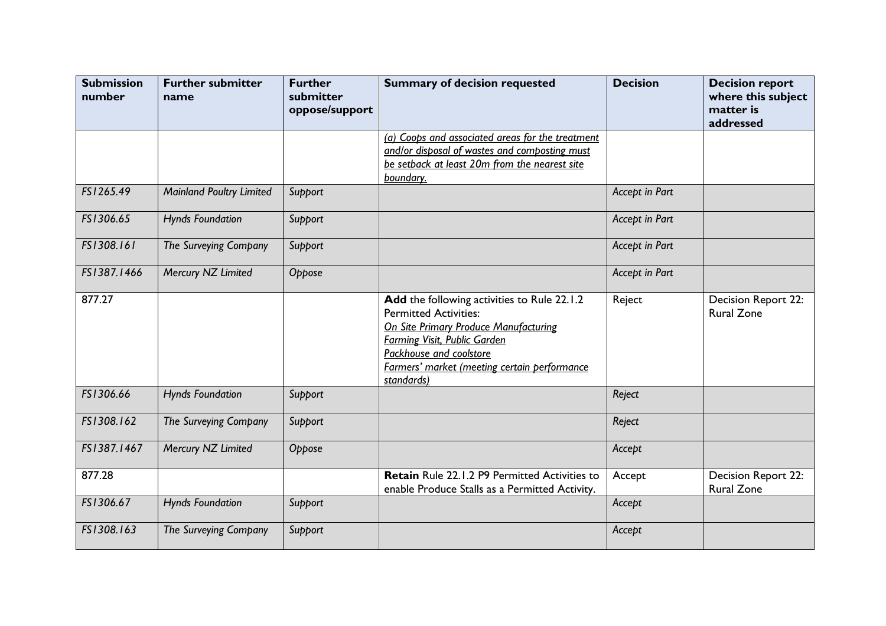| <b>Submission</b><br>number | <b>Further submitter</b><br>name | <b>Further</b><br>submitter<br>oppose/support | <b>Summary of decision requested</b>                                                                                                                                                                                                          | <b>Decision</b> | <b>Decision report</b><br>where this subject<br>matter is<br>addressed |
|-----------------------------|----------------------------------|-----------------------------------------------|-----------------------------------------------------------------------------------------------------------------------------------------------------------------------------------------------------------------------------------------------|-----------------|------------------------------------------------------------------------|
|                             |                                  |                                               | (a) Coops and associated areas for the treatment                                                                                                                                                                                              |                 |                                                                        |
|                             |                                  |                                               | and/or disposal of wastes and composting must                                                                                                                                                                                                 |                 |                                                                        |
|                             |                                  |                                               | be setback at least 20m from the nearest site                                                                                                                                                                                                 |                 |                                                                        |
|                             |                                  |                                               | boundary.                                                                                                                                                                                                                                     |                 |                                                                        |
| FS1265.49                   | <b>Mainland Poultry Limited</b>  | Support                                       |                                                                                                                                                                                                                                               | Accept in Part  |                                                                        |
| FS1306.65                   | <b>Hynds Foundation</b>          | Support                                       |                                                                                                                                                                                                                                               | Accept in Part  |                                                                        |
| FS1308.161                  | The Surveying Company            | Support                                       |                                                                                                                                                                                                                                               | Accept in Part  |                                                                        |
| FS1387.1466                 | Mercury NZ Limited               | Oppose                                        |                                                                                                                                                                                                                                               | Accept in Part  |                                                                        |
| 877.27                      |                                  |                                               | Add the following activities to Rule 22.1.2<br><b>Permitted Activities:</b><br>On Site Primary Produce Manufacturing<br>Farming Visit, Public Garden<br>Packhouse and coolstore<br>Farmers' market (meeting certain performance<br>standards) | Reject          | Decision Report 22:<br><b>Rural Zone</b>                               |
| FS1306.66                   | <b>Hynds Foundation</b>          | Support                                       |                                                                                                                                                                                                                                               | Reject          |                                                                        |
| FS1308.162                  | The Surveying Company            | Support                                       |                                                                                                                                                                                                                                               | Reject          |                                                                        |
| FS1387.1467                 | Mercury NZ Limited               | Oppose                                        |                                                                                                                                                                                                                                               | Accept          |                                                                        |
| 877.28                      |                                  |                                               | Retain Rule 22.1.2 P9 Permitted Activities to<br>enable Produce Stalls as a Permitted Activity.                                                                                                                                               | Accept          | Decision Report 22:<br><b>Rural Zone</b>                               |
| FS1306.67                   | <b>Hynds Foundation</b>          | Support                                       |                                                                                                                                                                                                                                               | Accept          |                                                                        |
| FS1308.163                  | The Surveying Company            | Support                                       |                                                                                                                                                                                                                                               | Accept          |                                                                        |